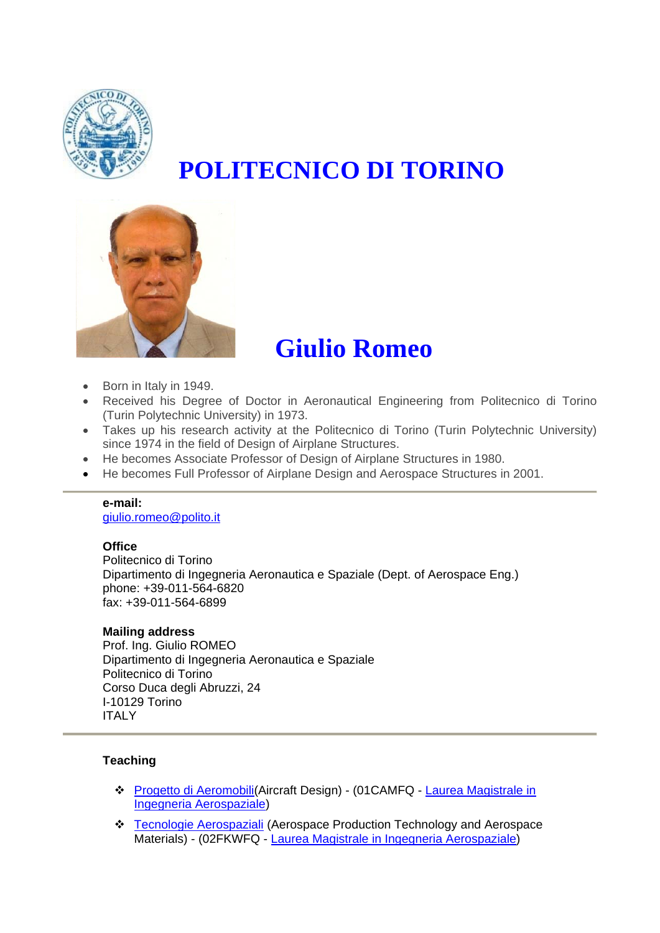

# **POLITECNICO DI TORINO**



# **Giulio Romeo**

- Born in Italy in 1949.
- Received his Degree of Doctor in Aeronautical Engineering from Politecnico di Torino (Turin Polytechnic University) in 1973.
- Takes up his research activity at the Politecnico di Torino (Turin Polytechnic University) since 1974 in the field of Design of Airplane Structures.
- He becomes Associate Professor of Design of Airplane Structures in 1980.
- He becomes Full Professor of Airplane Design and Aerospace Structures in 2001.

#### **e-mail:**

[giulio.romeo@polito.it](mailto:giulio.romeo@polito.it)

#### **Office**

Politecnico di Torino Dipartimento di Ingegneria Aeronautica e Spaziale (Dept. of Aerospace Eng.) phone: +39-011-564-6820 fax: +39-011-564-6899

#### **Mailing address**

Prof. Ing. Giulio ROMEO Dipartimento di Ingegneria Aeronautica e Spaziale Politecnico di Torino Corso Duca degli Abruzzi, 24 I-10129 Torino ITALY

#### **Teaching**

- [Progetto di Aeromobili](http://didattica.polito.it/pls/portal30/sviluppo.guide.visualizza?p_cod_ins=01CAMFQ&p_a_acc=2009)(Aircraft Design) (01CAMFQ [Laurea Magistrale in](http://didattica.polito.it/pls/portal30/gap.a_mds.espandi?p_a_acc=2009&p_sdu=32&p_cds=845&p_header=&p_lang=it)  [Ingegneria Aerospaziale\)](http://didattica.polito.it/pls/portal30/gap.a_mds.espandi?p_a_acc=2009&p_sdu=32&p_cds=845&p_header=&p_lang=it)
- \* [Tecnologie Aerospaziali](http://didattica.polito.it/pls/portal30/sviluppo.guide.visualizza?p_cod_ins=02FKWFQ&p_a_acc=2009) (Aerospace Production Technology and Aerospace Materials) - (02FKWFQ - [Laurea Magistrale in Ingegneria Aerospaziale\)](http://didattica.polito.it/pls/portal30/gap.a_mds.espandi?p_a_acc=2009&p_sdu=32&p_cds=845&p_header=&p_lang=it)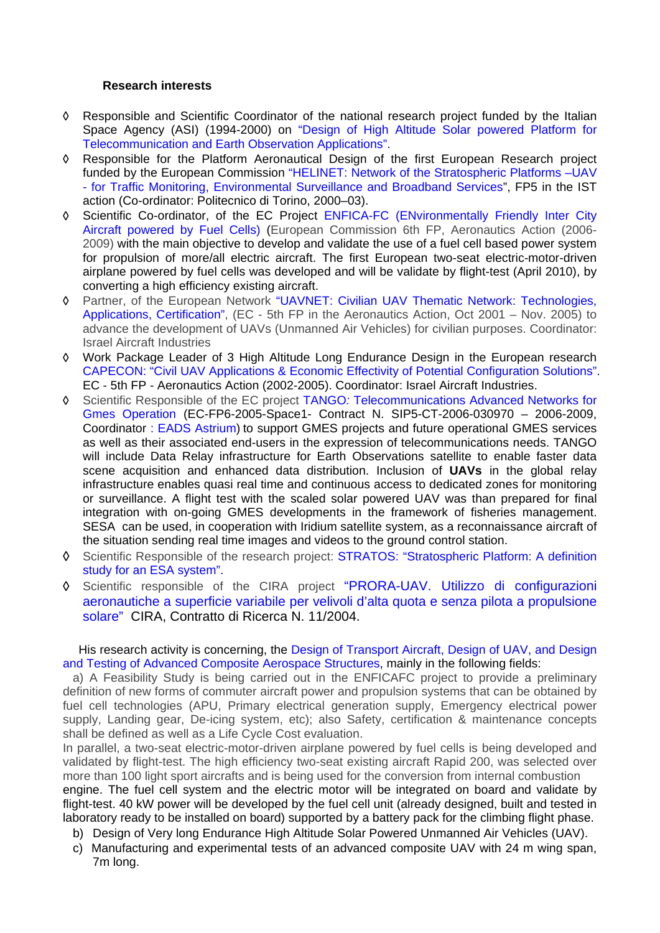#### **Research interests**

- ◊ Responsible and Scientific Coordinator of the national research project funded by the Italian Space Agency (ASI) (1994-2000) on "Design of High Altitude Solar powered Platform for Telecommunication and Earth Observation Applications".
- ◊ Responsible for the Platform Aeronautical Design of the first European Research project funded by the European Commission "HELINET: Network of the Stratospheric Platforms –UAV - for Traffic Monitoring, Environmental Surveillance and Broadband Services", FP5 in the IST action (Co-ordinator: Politecnico di Torino, 2000–03).
- ◊ Scientific Co-ordinator, of the EC Project ENFICA-FC (ENvironmentally Friendly Inter City Aircraft powered by Fuel Cells) (European Commission 6th FP, Aeronautics Action (2006- 2009) with the main objective to develop and validate the use of a fuel cell based power system for propulsion of more/all electric aircraft. The first European two-seat electric-motor-driven airplane powered by fuel cells was developed and will be validate by flight-test (April 2010), by converting a high efficiency existing aircraft.
- ◊ Partner, of the European Network "UAVNET: Civilian UAV Thematic Network: Technologies, Applications, Certification", (EC - 5th FP in the Aeronautics Action, Oct 2001 – Nov. 2005) to advance the development of UAVs (Unmanned Air Vehicles) for civilian purposes. Coordinator: Israel Aircraft Industries
- ◊ Work Package Leader of 3 High Altitude Long Endurance Design in the European research CAPECON: "Civil UAV Applications & Economic Effectivity of Potential Configuration Solutions". EC - 5th FP - Aeronautics Action (2002-2005). Coordinator: Israel Aircraft Industries.
- ◊ Scientific Responsible of the EC project TANGO*:* Telecommunications Advanced Networks for Gmes Operation (EC-FP6-2005-Space1- Contract N. SIP5-CT-2006-030970 – 2006-2009, Coordinator : EADS Astrium) to support GMES projects and future operational GMES services as well as their associated end-users in the expression of telecommunications needs. TANGO will include Data Relay infrastructure for Earth Observations satellite to enable faster data scene acquisition and enhanced data distribution. Inclusion of **UAVs** in the global relay infrastructure enables quasi real time and continuous access to dedicated zones for monitoring or surveillance. A flight test with the scaled solar powered UAV was than prepared for final integration with on-going GMES developments in the framework of fisheries management. SESA can be used, in cooperation with Iridium satellite system, as a reconnaissance aircraft of the situation sending real time images and videos to the ground control station.
- ◊ Scientific Responsible of the research project: STRATOS: "Stratospheric Platform: A definition study for an ESA system".
- ◊ Scientific responsible of the CIRA project "PRORA-UAV. Utilizzo di configurazioni aeronautiche a superficie variabile per velivoli d'alta quota e senza pilota a propulsione solare" CIRA, Contratto di Ricerca N. 11/2004.

His research activity is concerning, the Design of Transport Aircraft, Design of UAV, and Design and Testing of Advanced Composite Aerospace Structures, mainly in the following fields:

a) A Feasibility Study is being carried out in the ENFICAFC project to provide a preliminary definition of new forms of commuter aircraft power and propulsion systems that can be obtained by fuel cell technologies (APU, Primary electrical generation supply, Emergency electrical power supply, Landing gear, De-icing system, etc); also Safety, certification & maintenance concepts shall be defined as well as a Life Cycle Cost evaluation.

In parallel, a two-seat electric-motor-driven airplane powered by fuel cells is being developed and validated by flight-test. The high efficiency two-seat existing aircraft Rapid 200, was selected over more than 100 light sport aircrafts and is being used for the conversion from internal combustion engine. The fuel cell system and the electric motor will be integrated on board and validate by flight-test. 40 kW power will be developed by the fuel cell unit (already designed, built and tested in laboratory ready to be installed on board) supported by a battery pack for the climbing flight phase.

- b) Design of Very long Endurance High Altitude Solar Powered Unmanned Air Vehicles (UAV).
- c) Manufacturing and experimental tests of an advanced composite UAV with 24 m wing span, 7m long.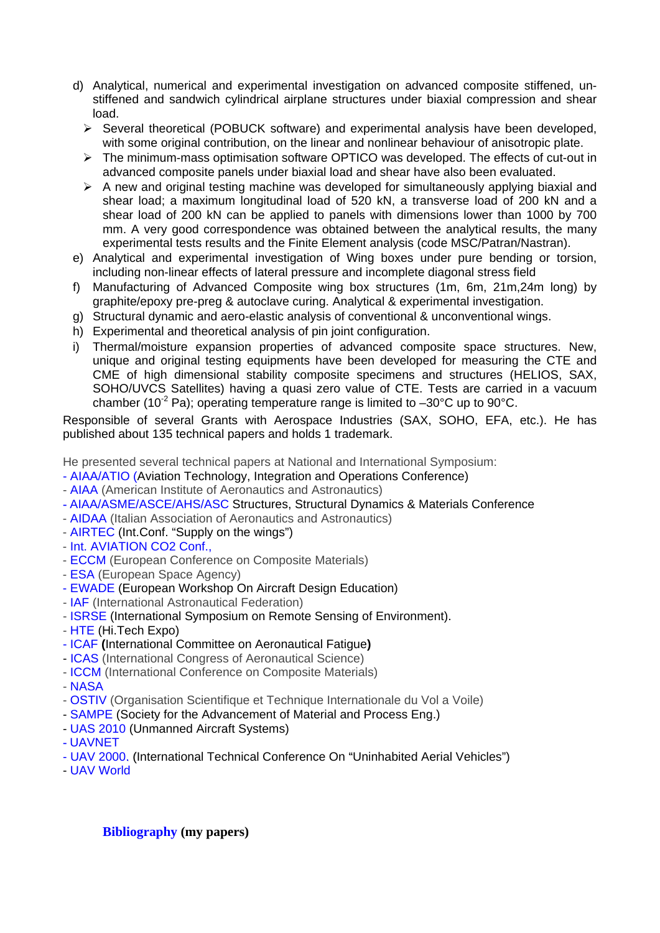- d) Analytical, numerical and experimental investigation on advanced composite stiffened, unstiffened and sandwich cylindrical airplane structures under biaxial compression and shear load.
	- ¾ Several theoretical (POBUCK software) and experimental analysis have been developed, with some original contribution, on the linear and nonlinear behaviour of anisotropic plate.
	- ¾ The minimum-mass optimisation software OPTICO was developed. The effects of cut-out in advanced composite panels under biaxial load and shear have also been evaluated.
	- $\triangleright$  A new and original testing machine was developed for simultaneously applying biaxial and shear load; a maximum longitudinal load of 520 kN, a transverse load of 200 kN and a shear load of 200 kN can be applied to panels with dimensions lower than 1000 by 700 mm. A very good correspondence was obtained between the analytical results, the many experimental tests results and the Finite Element analysis (code MSC/Patran/Nastran).
- e) Analytical and experimental investigation of Wing boxes under pure bending or torsion, including non-linear effects of lateral pressure and incomplete diagonal stress field
- f) Manufacturing of Advanced Composite wing box structures (1m, 6m, 21m,24m long) by graphite/epoxy pre-preg & autoclave curing. Analytical & experimental investigation.
- g) Structural dynamic and aero-elastic analysis of conventional & unconventional wings.
- h) Experimental and theoretical analysis of pin joint configuration.
- i) Thermal/moisture expansion properties of advanced composite space structures. New, unique and original testing equipments have been developed for measuring the CTE and CME of high dimensional stability composite specimens and structures (HELIOS, SAX, SOHO/UVCS Satellites) having a quasi zero value of CTE. Tests are carried in a vacuum chamber (10<sup>-2</sup> Pa); operating temperature range is limited to  $-30^{\circ}$ C up to 90 $^{\circ}$ C.

Responsible of several Grants with Aerospace Industries (SAX, SOHO, EFA, etc.). He has published about 135 technical papers and holds 1 trademark.

He presented several technical papers at National and International Symposium:

- AIAA/ATIO (Aviation Technology, Integration and Operations Conference)
- AIAA (American Institute of Aeronautics and Astronautics)
- AIAA/ASME/ASCE/AHS/ASC Structures, Structural Dynamics & Materials Conference
- AIDAA (Italian Association of Aeronautics and Astronautics)
- AIRTEC (Int.Conf. "Supply on the wings")
- Int. AVIATION CO2 Conf.,
- ECCM (European Conference on Composite Materials)
- ESA (European Space Agency)
- EWADE (European Workshop On Aircraft Design Education)
- IAF (International Astronautical Federation)
- ISRSE (International Symposium on Remote Sensing of Environment).
- HTE (Hi.Tech Expo)
- ICAF **(**International Committee on Aeronautical Fatigue**)**
- ICAS (International Congress of Aeronautical Science)
- ICCM (International Conference on Composite Materials)

- NASA

- OSTIV (Organisation Scientifique et Technique Internationale du Vol a Voile)
- SAMPE (Society for the Advancement of Material and Process Eng.)
- UAS 2010 (Unmanned Aircraft Systems)
- UAVNET
- UAV 2000. (International Technical Conference On "Uninhabited Aerial Vehicles")
- UAV World

**[Bibliography](http://www.swas.polito.it/rubrica/scheda_pers.asp?vis_PUB=S&vis_cv=&vis_prog=&matricola=001323) (my papers)**